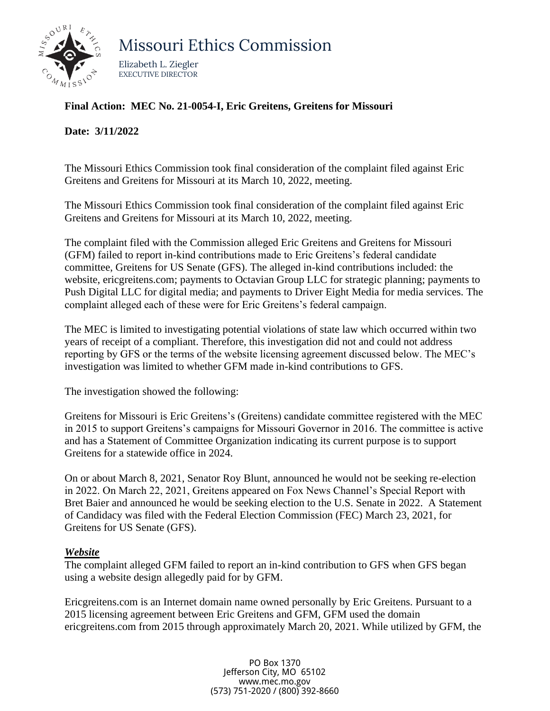

Missouri Ethics Commission

Elizabeth L. Ziegler EXECUTIVE DIRECTOR

### **Final Action: MEC No. 21-0054-I, Eric Greitens, Greitens for Missouri**

#### **Date: 3/11/2022**

The Missouri Ethics Commission took final consideration of the complaint filed against Eric Greitens and Greitens for Missouri at its March 10, 2022, meeting.

The Missouri Ethics Commission took final consideration of the complaint filed against Eric Greitens and Greitens for Missouri at its March 10, 2022, meeting.

The complaint filed with the Commission alleged Eric Greitens and Greitens for Missouri (GFM) failed to report in-kind contributions made to Eric Greitens's federal candidate committee, Greitens for US Senate (GFS). The alleged in-kind contributions included: the website, ericgreitens.com; payments to Octavian Group LLC for strategic planning; payments to Push Digital LLC for digital media; and payments to Driver Eight Media for media services. The complaint alleged each of these were for Eric Greitens's federal campaign.

The MEC is limited to investigating potential violations of state law which occurred within two years of receipt of a compliant. Therefore, this investigation did not and could not address reporting by GFS or the terms of the website licensing agreement discussed below. The MEC's investigation was limited to whether GFM made in-kind contributions to GFS.

The investigation showed the following:

Greitens for Missouri is Eric Greitens's (Greitens) candidate committee registered with the MEC in 2015 to support Greitens's campaigns for Missouri Governor in 2016. The committee is active and has a Statement of Committee Organization indicating its current purpose is to support Greitens for a statewide office in 2024.

On or about March 8, 2021, Senator Roy Blunt, announced he would not be seeking re-election in 2022. On March 22, 2021, Greitens appeared on Fox News Channel's Special Report with Bret Baier and announced he would be seeking election to the U.S. Senate in 2022. A Statement of Candidacy was filed with the Federal Election Commission (FEC) March 23, 2021, for Greitens for US Senate (GFS).

#### *Website*

The complaint alleged GFM failed to report an in-kind contribution to GFS when GFS began using a website design allegedly paid for by GFM.

Ericgreitens.com is an Internet domain name owned personally by Eric Greitens. Pursuant to a 2015 licensing agreement between Eric Greitens and GFM, GFM used the domain ericgreitens.com from 2015 through approximately March 20, 2021. While utilized by GFM, the

> PO Box 1370 Jefferson City, MO 65102 [www.mec.mo.gov](http://www.mec.mo.gov/) (573) 751-2020 / (800) 392-8660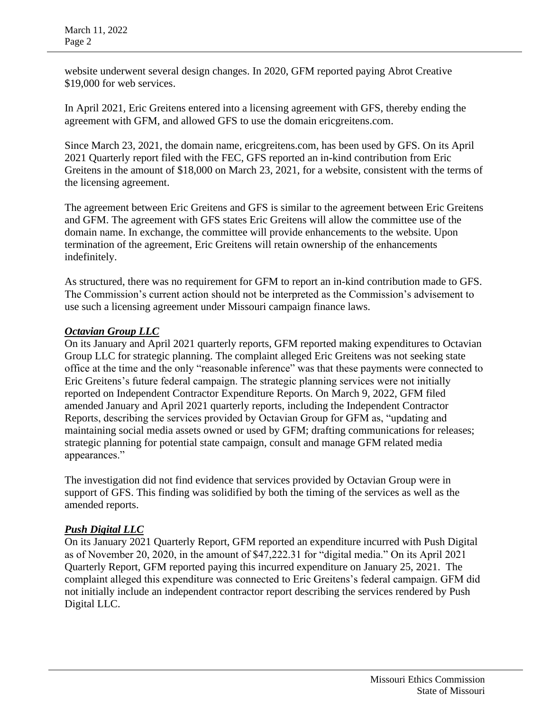website underwent several design changes. In 2020, GFM reported paying Abrot Creative \$19,000 for web services.

In April 2021, Eric Greitens entered into a licensing agreement with GFS, thereby ending the agreement with GFM, and allowed GFS to use the domain ericgreitens.com.

Since March 23, 2021, the domain name, ericgreitens.com, has been used by GFS. On its April 2021 Quarterly report filed with the FEC, GFS reported an in-kind contribution from Eric Greitens in the amount of \$18,000 on March 23, 2021, for a website, consistent with the terms of the licensing agreement.

The agreement between Eric Greitens and GFS is similar to the agreement between Eric Greitens and GFM. The agreement with GFS states Eric Greitens will allow the committee use of the domain name. In exchange, the committee will provide enhancements to the website. Upon termination of the agreement, Eric Greitens will retain ownership of the enhancements indefinitely.

As structured, there was no requirement for GFM to report an in-kind contribution made to GFS. The Commission's current action should not be interpreted as the Commission's advisement to use such a licensing agreement under Missouri campaign finance laws.

## *Octavian Group LLC*

On its January and April 2021 quarterly reports, GFM reported making expenditures to Octavian Group LLC for strategic planning. The complaint alleged Eric Greitens was not seeking state office at the time and the only "reasonable inference" was that these payments were connected to Eric Greitens's future federal campaign. The strategic planning services were not initially reported on Independent Contractor Expenditure Reports. On March 9, 2022, GFM filed amended January and April 2021 quarterly reports, including the Independent Contractor Reports, describing the services provided by Octavian Group for GFM as, "updating and maintaining social media assets owned or used by GFM; drafting communications for releases; strategic planning for potential state campaign, consult and manage GFM related media appearances."

The investigation did not find evidence that services provided by Octavian Group were in support of GFS. This finding was solidified by both the timing of the services as well as the amended reports.

# *Push Digital LLC*

On its January 2021 Quarterly Report, GFM reported an expenditure incurred with Push Digital as of November 20, 2020, in the amount of \$47,222.31 for "digital media." On its April 2021 Quarterly Report, GFM reported paying this incurred expenditure on January 25, 2021. The complaint alleged this expenditure was connected to Eric Greitens's federal campaign. GFM did not initially include an independent contractor report describing the services rendered by Push Digital LLC.